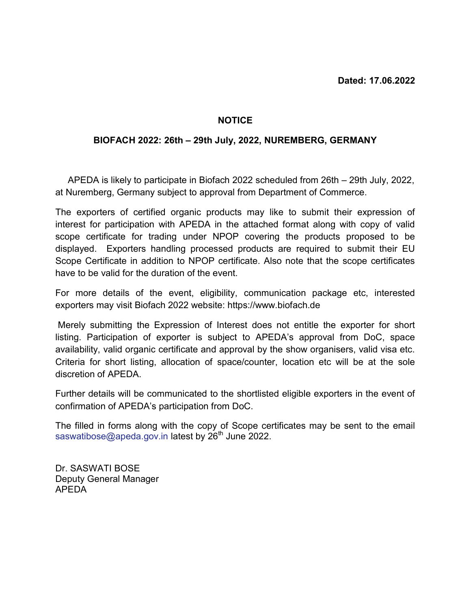## **NOTICE**

## BIOFACH 2022: 26th – 29th July, 2022, NUREMBERG, GERMANY

 APEDA is likely to participate in Biofach 2022 scheduled from 26th – 29th July, 2022, at Nuremberg, Germany subject to approval from Department of Commerce.

The exporters of certified organic products may like to submit their expression of interest for participation with APEDA in the attached format along with copy of valid scope certificate for trading under NPOP covering the products proposed to be displayed. Exporters handling processed products are required to submit their EU Scope Certificate in addition to NPOP certificate. Also note that the scope certificates have to be valid for the duration of the event.

For more details of the event, eligibility, communication package etc, interested exporters may visit Biofach 2022 website: https://www.biofach.de

 Merely submitting the Expression of Interest does not entitle the exporter for short listing. Participation of exporter is subject to APEDA's approval from DoC, space availability, valid organic certificate and approval by the show organisers, valid visa etc. Criteria for short listing, allocation of space/counter, location etc will be at the sole discretion of APEDA.

Further details will be communicated to the shortlisted eligible exporters in the event of confirmation of APEDA's participation from DoC.

The filled in forms along with the copy of Scope certificates may be sent to the email saswatibose@apeda.gov.in latest by  $26<sup>th</sup>$  June 2022.

Dr. SASWATI BOSE Deputy General Manager APEDA